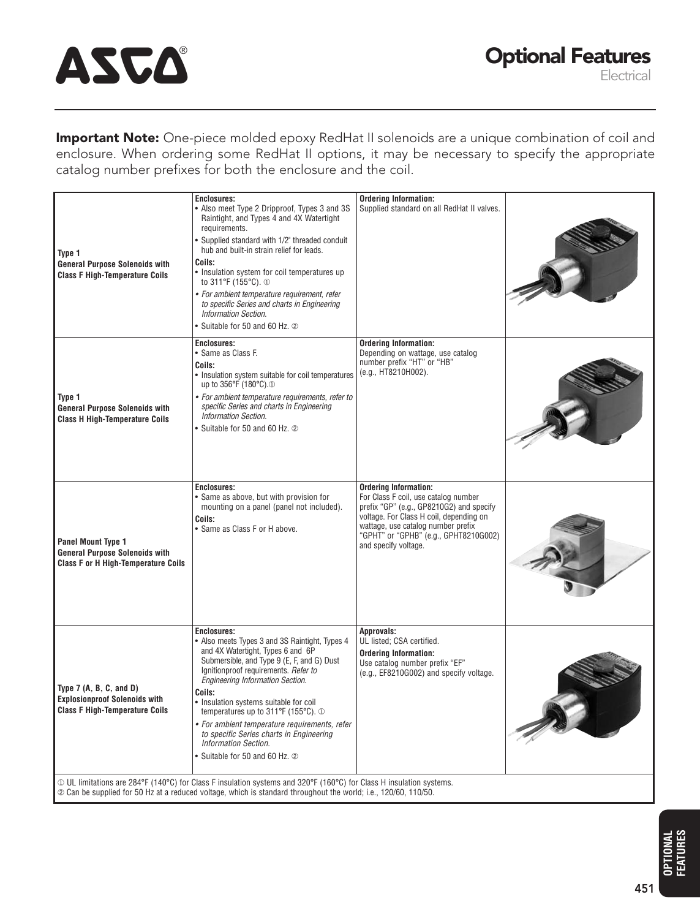# ASCA

**Important Note:** One-piece molded epoxy RedHat II solenoids are a unique combination of coil and enclosure. When ordering some RedHat II options, it may be necessary to specify the appropriate catalog number prefixes for both the enclosure and the coil.

| Type 1<br>General Purpose Solenoids with<br><b>Class F High-Temperature Coils</b>                                                                                                                                                             | <b>Enclosures:</b><br>• Also meet Type 2 Dripproof, Types 3 and 3S<br>Raintight, and Types 4 and 4X Watertight<br>requirements.<br>• Supplied standard with 1/2" threaded conduit<br>hub and built-in strain relief for leads.<br>Coils:<br>• Insulation system for coil temperatures up<br>to 311°F (155°C). 1<br>• For ambient temperature requirement, refer<br>to specific Series and charts in Engineering<br>Information Section.<br>• Suitable for 50 and 60 Hz. 2      | <b>Ordering Information:</b><br>Supplied standard on all RedHat II valves.                                                                                                                                                                                         |  |  |
|-----------------------------------------------------------------------------------------------------------------------------------------------------------------------------------------------------------------------------------------------|--------------------------------------------------------------------------------------------------------------------------------------------------------------------------------------------------------------------------------------------------------------------------------------------------------------------------------------------------------------------------------------------------------------------------------------------------------------------------------|--------------------------------------------------------------------------------------------------------------------------------------------------------------------------------------------------------------------------------------------------------------------|--|--|
| Type 1<br>General Purpose Solenoids with<br><b>Class H High-Temperature Coils</b>                                                                                                                                                             | <b>Enclosures:</b><br>• Same as Class F.<br>Coils:<br>• Insulation system suitable for coil temperatures<br>up to 356°F (180°C). <sup>1</sup><br>• For ambient temperature requirements, refer to<br>specific Series and charts in Engineering<br>Information Section.<br>• Suitable for 50 and 60 Hz. 2                                                                                                                                                                       | <b>Ordering Information:</b><br>Depending on wattage, use catalog<br>number prefix "HT" or "HB"<br>(e.g., HT8210H002).                                                                                                                                             |  |  |
| <b>Panel Mount Type 1</b><br><b>General Purpose Solenoids with</b><br><b>Class F or H High-Temperature Coils</b>                                                                                                                              | <b>Enclosures:</b><br>• Same as above, but with provision for<br>mounting on a panel (panel not included).<br>Coils:<br>• Same as Class F or H above.                                                                                                                                                                                                                                                                                                                          | <b>Ordering Information:</b><br>For Class F coil, use catalog number<br>prefix "GP" (e.g., GP8210G2) and specify<br>voltage. For Class H coil, depending on<br>wattage, use catalog number prefix<br>"GPHT" or "GPHB" (e.g., GPHT8210G002)<br>and specify voltage. |  |  |
| Type $7(A, B, C, and D)$<br><b>Explosionproof Solenoids with</b><br><b>Class F High-Temperature Coils</b>                                                                                                                                     | Enclosures:<br>• Also meets Types 3 and 3S Raintight, Types 4<br>and 4X Watertight, Types 6 and 6P<br>Submersible, and Type 9 (E, F, and G) Dust<br>Ignitionproof requirements. Refer to<br>Engineering Information Section.<br>Coils:<br>• Insulation systems suitable for coil<br>temperatures up to 311°F (155°C). 1<br>• For ambient temperature requirements, refer<br>to specific Series charts in Engineering<br>Information Section.<br>• Suitable for 50 and 60 Hz. 2 | Approvals:<br>UL listed; CSA certified.<br><b>Ordering Information:</b><br>Use catalog number prefix "EF"<br>(e.g., EF8210G002) and specify voltage.                                                                                                               |  |  |
| $\oplus$ UL limitations are 284°F (140°C) for Class F insulation systems and 320°F (160°C) for Class H insulation systems.<br>2 Can be supplied for 50 Hz at a reduced voltage, which is standard throughout the world; i.e., 120/60, 110/50. |                                                                                                                                                                                                                                                                                                                                                                                                                                                                                |                                                                                                                                                                                                                                                                    |  |  |

**OPTIONAL FEATURES**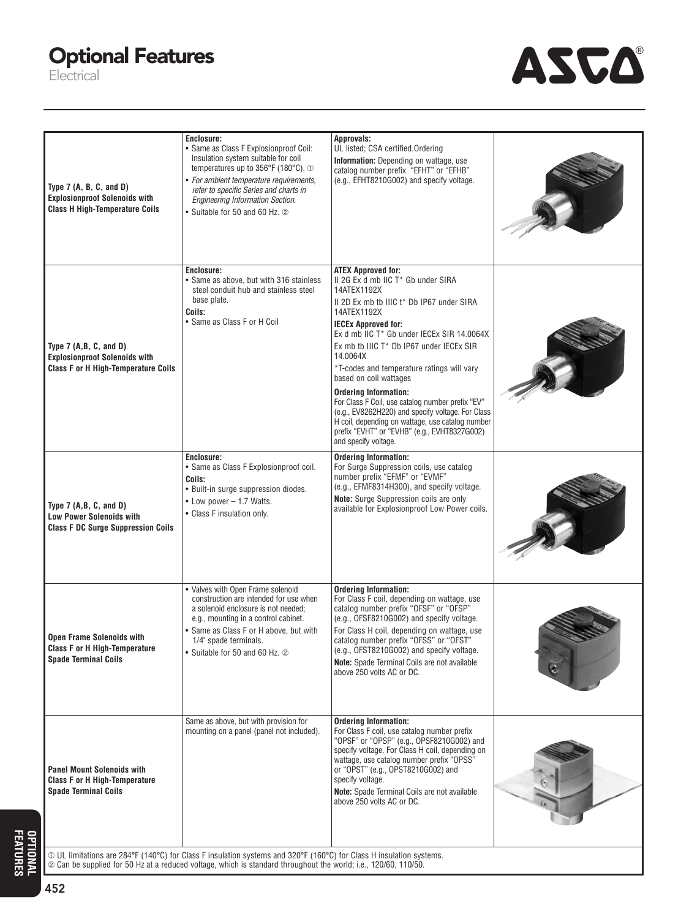### **Optional Features**

Electrical



I

| Type $7(A, B, C, and D)$<br><b>Explosionproof Solenoids with</b><br><b>Class H High-Temperature Coils</b>    | Enclosure:<br>• Same as Class F Explosionproof Coil:<br>Insulation system suitable for coil<br>temperatures up to 356°F (180°C). 1<br>• For ambient temperature requirements,<br>refer to specific Series and charts in<br><b>Engineering Information Section.</b><br>• Suitable for 50 and 60 Hz. 2 | Approvals:<br>UL listed; CSA certified.Ordering<br>Information: Depending on wattage, use<br>catalog number prefix "EFHT" or "EFHB"<br>(e.g., EFHT8210G002) and specify voltage.                                                                                                                                                                                                                                                                                                                                                                                                                                            |  |
|--------------------------------------------------------------------------------------------------------------|------------------------------------------------------------------------------------------------------------------------------------------------------------------------------------------------------------------------------------------------------------------------------------------------------|-----------------------------------------------------------------------------------------------------------------------------------------------------------------------------------------------------------------------------------------------------------------------------------------------------------------------------------------------------------------------------------------------------------------------------------------------------------------------------------------------------------------------------------------------------------------------------------------------------------------------------|--|
| Type $7(A,B,C, and D)$<br><b>Explosionproof Solenoids with</b><br><b>Class F or H High-Temperature Coils</b> | Enclosure:<br>• Same as above, but with 316 stainless<br>steel conduit hub and stainless steel<br>base plate.<br>Coils:<br>• Same as Class F or H Coil                                                                                                                                               | <b>ATEX Approved for:</b><br>II 2G Ex d mb IIC T* Gb under SIRA<br>14ATEX1192X<br>II 2D Ex mb tb IIIC t* Db IP67 under SIRA<br>14ATEX1192X<br><b>IECEx Approved for:</b><br>Ex d mb IIC T* Gb under IECEx SIR 14.0064X<br>Ex mb tb IIIC T* Db IP67 under IECEx SIR<br>14.0064X<br>*T-codes and temperature ratings will vary<br>based on coil wattages<br><b>Ordering Information:</b><br>For Class F Coil, use catalog number prefix "EV"<br>(e.g., EV8262H220) and specify voltage. For Class<br>H coil, depending on wattage, use catalog number<br>prefix "EVHT" or "EVHB" (e.g., EVHT8327G002)<br>and specify voltage. |  |
| Type $7(A,B,C, and D)$<br><b>Low Power Solenoids with</b><br><b>Class F DC Surge Suppression Coils</b>       | Enclosure:<br>• Same as Class F Explosionproof coil.<br>Coils:<br>• Built-in surge suppression diodes.<br>• Low power - 1.7 Watts.<br>• Class F insulation only.                                                                                                                                     | <b>Ordering Information:</b><br>For Surge Suppression coils, use catalog<br>number prefix "EFMF" or "EVMF"<br>(e.g., EFMF8314H300), and specify voltage.<br>Note: Surge Suppression coils are only<br>available for Explosionproof Low Power coils.                                                                                                                                                                                                                                                                                                                                                                         |  |
| <b>Open Frame Solenoids with</b><br><b>Class F or H High-Temperature</b><br><b>Spade Terminal Coils</b>      | • Valves with Open Frame solenoid<br>construction are intended for use when<br>a solenoid enclosure is not needed;<br>e.g., mounting in a control cabinet.<br>• Same as Class F or H above, but with<br>1/4" spade terminals.<br>• Suitable for 50 and 60 Hz. 2                                      | <b>Ordering Information:</b><br>For Class F coil, depending on wattage, use<br>catalog number prefix "OFSF" or "OFSP"<br>(e.g., OFSF8210G002) and specify voltage.<br>For Class H coil, depending on wattage, use<br>catalog number prefix "OFSS" or "OFST"<br>(e.g., OFST8210G002) and specify voltage.<br>Note: Spade Terminal Coils are not available<br>above 250 volts AC or DC.                                                                                                                                                                                                                                       |  |
| <b>Panel Mount Solenoids with</b><br><b>Class F or H High-Temperature</b><br><b>Spade Terminal Coils</b>     | Same as above, but with provision for<br>mounting on a panel (panel not included).<br>10 UL limitations are 284°F (140°C) for Class F insulation systems and 320°F (160°C) for Class H insulation systems.                                                                                           | <b>Ordering Information:</b><br>For Class F coil, use catalog number prefix<br>"OPSF" or "OPSP" (e.g., OPSF8210G002) and<br>specify voltage. For Class H coil, depending on<br>wattage, use catalog number prefix "OPSS"<br>or "OPST" (e.g., OPST8210G002) and<br>specify voltage.<br>Note: Spade Terminal Coils are not available<br>above 250 volts AC or DC.                                                                                                                                                                                                                                                             |  |

**OPTIONAL<br>FEATURES OPTIONAL 452**

**FEATURES**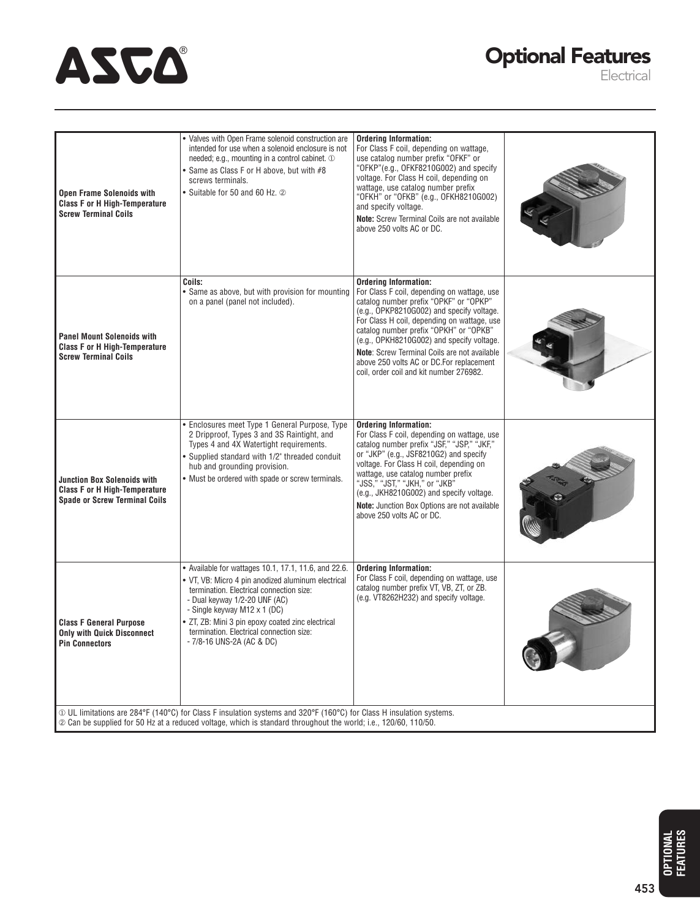## ASCA

### **Optional Features**

Electrical

| <b>Open Frame Solenoids with</b><br><b>Class F or H High-Temperature</b><br><b>Screw Terminal Coils</b>                                                                                                                                     | · Valves with Open Frame solenoid construction are<br>intended for use when a solenoid enclosure is not<br>needed; e.g., mounting in a control cabinet. 1<br>• Same as Class F or H above, but with #8<br>screws terminals.<br>• Suitable for 50 and 60 Hz. 2                                                                                         | <b>Ordering Information:</b><br>For Class F coil, depending on wattage,<br>use catalog number prefix "OFKF" or<br>"OFKP"(e.g., OFKF8210G002) and specify<br>voltage. For Class H coil, depending on<br>wattage, use catalog number prefix<br>"OFKH" or "OFKB" (e.g., OFKH8210G002)<br>and specify voltage.<br>Note: Screw Terminal Coils are not available<br>above 250 volts AC or DC.                                                         |  |  |
|---------------------------------------------------------------------------------------------------------------------------------------------------------------------------------------------------------------------------------------------|-------------------------------------------------------------------------------------------------------------------------------------------------------------------------------------------------------------------------------------------------------------------------------------------------------------------------------------------------------|-------------------------------------------------------------------------------------------------------------------------------------------------------------------------------------------------------------------------------------------------------------------------------------------------------------------------------------------------------------------------------------------------------------------------------------------------|--|--|
| <b>Panel Mount Solenoids with</b><br><b>Class F or H High-Temperature</b><br><b>Screw Terminal Coils</b>                                                                                                                                    | Coils:<br>• Same as above, but with provision for mounting<br>on a panel (panel not included).                                                                                                                                                                                                                                                        | <b>Ordering Information:</b><br>For Class F coil, depending on wattage, use<br>catalog number prefix "OPKF" or "OPKP"<br>(e.g., OPKP8210G002) and specify voltage.<br>For Class H coil, depending on wattage, use<br>catalog number prefix "OPKH" or "OPKB"<br>(e.g., OPKH8210G002) and specify voltage.<br>Note: Screw Terminal Coils are not available<br>above 250 volts AC or DC.For replacement<br>coil, order coil and kit number 276982. |  |  |
| <b>Junction Box Solenoids with</b><br><b>Class F or H High-Temperature</b><br><b>Spade or Screw Terminal Coils</b>                                                                                                                          | • Enclosures meet Type 1 General Purpose, Type<br>2 Dripproof, Types 3 and 3S Raintight, and<br>Types 4 and 4X Watertight requirements.<br>• Supplied standard with 1/2" threaded conduit<br>hub and grounding provision.<br>• Must be ordered with spade or screw terminals.                                                                         | <b>Ordering Information:</b><br>For Class F coil, depending on wattage, use<br>catalog number prefix "JSF," "JSP," "JKF,"<br>or "JKP" (e.g., JSF8210G2) and specify<br>voltage. For Class H coil, depending on<br>wattage, use catalog number prefix<br>"JSS," "JST," "JKH," or "JKB"<br>(e.g., JKH8210G002) and specify voltage.<br>Note: Junction Box Options are not available<br>above 250 volts AC or DC.                                  |  |  |
| <b>Class F General Purpose</b><br><b>Only with Quick Disconnect</b><br><b>Pin Connectors</b>                                                                                                                                                | • Available for wattages 10.1, 17.1, 11.6, and 22.6.<br>• VT, VB: Micro 4 pin anodized aluminum electrical<br>termination. Electrical connection size:<br>- Dual keyway 1/2-20 UNF (AC)<br>- Single keyway M12 x 1 (DC)<br>• ZT, ZB: Mini 3 pin epoxy coated zinc electrical<br>termination. Electrical connection size:<br>- 7/8-16 UNS-2A (AC & DC) | <b>Ordering Information:</b><br>For Class F coil, depending on wattage, use<br>catalog number prefix VT, VB, ZT, or ZB.<br>(e.g. VT8262H232) and specify voltage.                                                                                                                                                                                                                                                                               |  |  |
| $\Phi$ UL limitations are 284°F (140°C) for Class F insulation systems and 320°F (160°C) for Class H insulation systems.<br>2 Can be supplied for 50 Hz at a reduced voltage, which is standard throughout the world; i.e., 120/60, 110/50. |                                                                                                                                                                                                                                                                                                                                                       |                                                                                                                                                                                                                                                                                                                                                                                                                                                 |  |  |